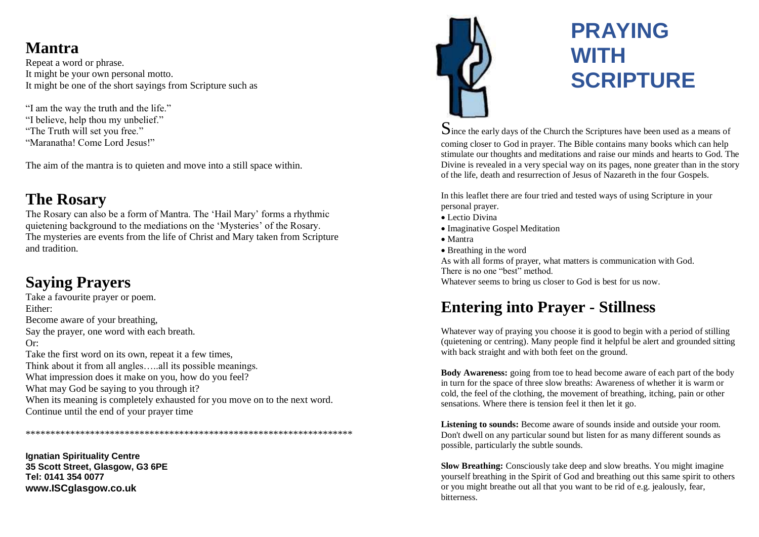### **Mantra**

Repeat a word or phrase. It might be your own personal motto. It might be one of the short sayings from Scripture such as

"I am the way the truth and the life." "I believe, help thou my unbelief." "The Truth will set you free." "Maranatha! Come Lord Jesus!"

The aim of the mantra is to quieten and move into a still space within.

### **The Rosary**

The Rosary can also be a form of Mantra. The 'Hail Mary' forms a rhythmic quietening background to the mediations on the 'Mysteries' of the Rosary. The mysteries are events from the life of Christ and Mary taken from Scripture and tradition.

## **Saying Prayers**

Take a favourite prayer or poem. Either: Become aware of your breathing, Say the prayer, one word with each breath. Or: Take the first word on its own, repeat it a few times, Think about it from all angles…..all its possible meanings. What impression does it make on you, how do you feel? What may God be saying to you through it? When its meaning is completely exhausted for you move on to the next word. Continue until the end of your prayer time

\*\*\*\*\*\*\*\*\*\*\*\*\*\*\*\*\*\*\*\*\*\*\*\*\*\*\*\*\*\*\*\*\*\*\*\*\*\*\*\*\*\*\*\*\*\*\*\*\*\*\*\*\*\*\*\*\*\*\*\*\*\*\*\*\*\*

**Ignatian Spirituality Centre 35 Scott Street, Glasgow, G3 6PE Tel: 0141 354 0077 www.ISCglasgow.co.uk**



# **PRAYING WITH SCRIPTURE**

Since the early days of the Church the Scriptures have been used as a means of coming closer to God in prayer. The Bible contains many books which can help stimulate our thoughts and meditations and raise our minds and hearts to God. The Divine is revealed in a very special way on its pages, none greater than in the story of the life, death and resurrection of Jesus of Nazareth in the four Gospels.

In this leaflet there are four tried and tested ways of using Scripture in your personal prayer.

- Lectio Divina
- Imaginative Gospel Meditation
- Mantra
- Breathing in the word

As with all forms of prayer, what matters is communication with God.

There is no one "best" method.

Whatever seems to bring us closer to God is best for us now.

### **Entering into Prayer - Stillness**

Whatever way of praying you choose it is good to begin with a period of stilling (quietening or centring). Many people find it helpful be alert and grounded sitting with back straight and with both feet on the ground.

**Body Awareness:** going from toe to head become aware of each part of the body in turn for the space of three slow breaths: Awareness of whether it is warm or cold, the feel of the clothing, the movement of breathing, itching, pain or other sensations. Where there is tension feel it then let it go.

**Listening to sounds:** Become aware of sounds inside and outside your room. Don't dwell on any particular sound but listen for as many different sounds as possible, particularly the subtle sounds.

**Slow Breathing:** Consciously take deep and slow breaths. You might imagine yourself breathing in the Spirit of God and breathing out this same spirit to others or you might breathe out all that you want to be rid of e.g. jealously, fear, bitterness.